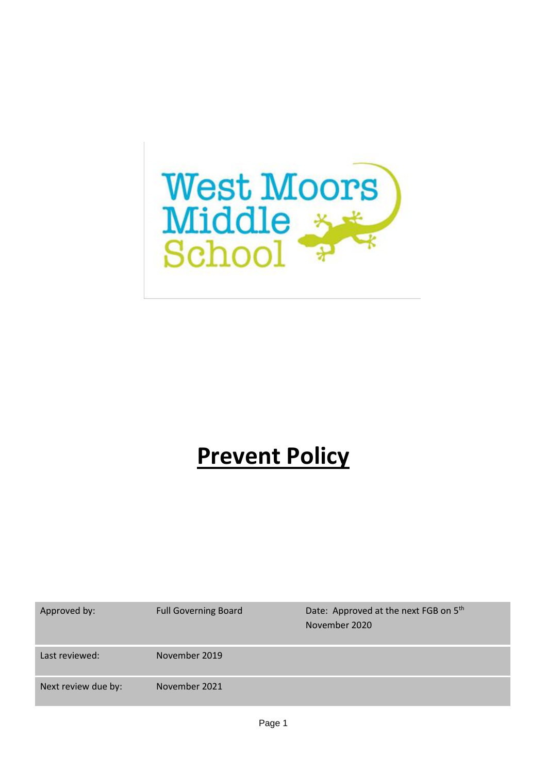

# **Prevent Policy**

| Approved by:        | <b>Full Governing Board</b> | Date: Approved at the next FGB on 5th<br>November 2020 |
|---------------------|-----------------------------|--------------------------------------------------------|
| Last reviewed:      | November 2019               |                                                        |
| Next review due by: | November 2021               |                                                        |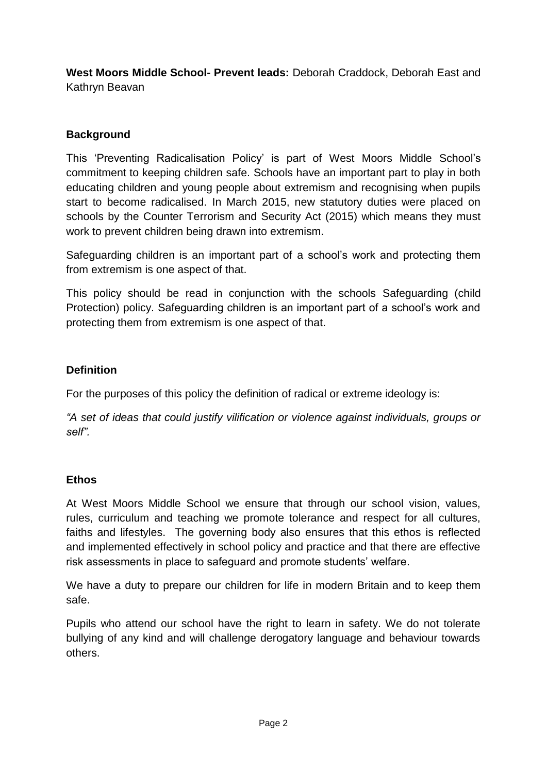**West Moors Middle School- Prevent leads:** Deborah Craddock, Deborah East and Kathryn Beavan

# **Background**

This 'Preventing Radicalisation Policy' is part of West Moors Middle School's commitment to keeping children safe. Schools have an important part to play in both educating children and young people about extremism and recognising when pupils start to become radicalised. In March 2015, new statutory duties were placed on schools by the Counter Terrorism and Security Act (2015) which means they must work to prevent children being drawn into extremism.

Safeguarding children is an important part of a school's work and protecting them from extremism is one aspect of that.

This policy should be read in conjunction with the schools Safeguarding (child Protection) policy. Safeguarding children is an important part of a school's work and protecting them from extremism is one aspect of that.

# **Definition**

For the purposes of this policy the definition of radical or extreme ideology is:

*"A set of ideas that could justify vilification or violence against individuals, groups or self".*

## **Ethos**

At West Moors Middle School we ensure that through our school vision, values, rules, curriculum and teaching we promote tolerance and respect for all cultures, faiths and lifestyles. The governing body also ensures that this ethos is reflected and implemented effectively in school policy and practice and that there are effective risk assessments in place to safeguard and promote students' welfare.

We have a duty to prepare our children for life in modern Britain and to keep them safe.

Pupils who attend our school have the right to learn in safety. We do not tolerate bullying of any kind and will challenge derogatory language and behaviour towards others.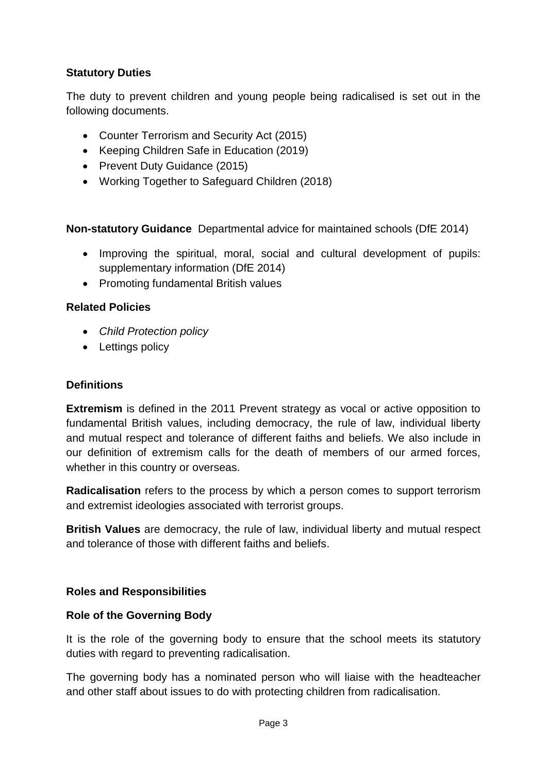# **Statutory Duties**

The duty to prevent children and young people being radicalised is set out in the following documents.

- Counter Terrorism and Security Act (2015)
- Keeping Children Safe in Education (2019)
- Prevent Duty Guidance (2015)
- Working Together to Safeguard Children (2018)

**Non-statutory Guidance** Departmental advice for maintained schools (DfE 2014)

- Improving the spiritual, moral, social and cultural development of pupils: supplementary information (DfE 2014)
- Promoting fundamental British values

## **Related Policies**

- *Child Protection policy*
- Lettings policy

#### **Definitions**

**Extremism** is defined in the 2011 Prevent strategy as vocal or active opposition to fundamental British values, including democracy, the rule of law, individual liberty and mutual respect and tolerance of different faiths and beliefs. We also include in our definition of extremism calls for the death of members of our armed forces, whether in this country or overseas.

**Radicalisation** refers to the process by which a person comes to support terrorism and extremist ideologies associated with terrorist groups.

**British Values** are democracy, the rule of law, individual liberty and mutual respect and tolerance of those with different faiths and beliefs.

## **Roles and Responsibilities**

## **Role of the Governing Body**

It is the role of the governing body to ensure that the school meets its statutory duties with regard to preventing radicalisation.

The governing body has a nominated person who will liaise with the headteacher and other staff about issues to do with protecting children from radicalisation.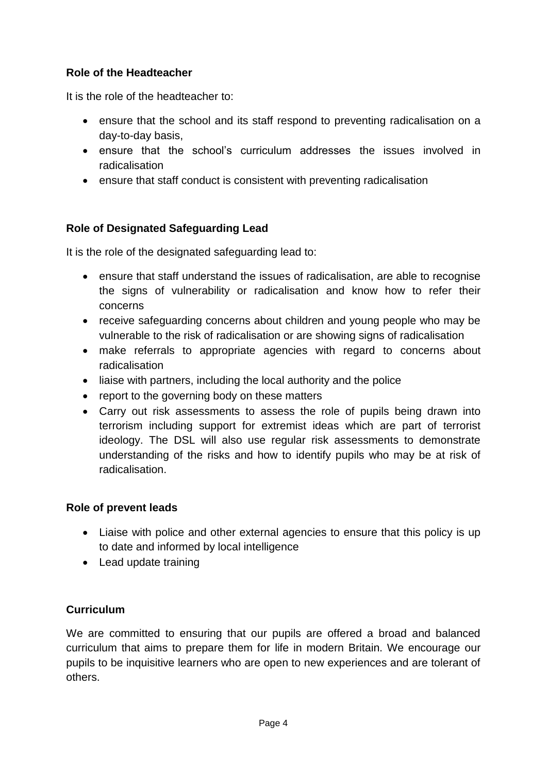# **Role of the Headteacher**

It is the role of the headteacher to:

- ensure that the school and its staff respond to preventing radicalisation on a day-to-day basis,
- ensure that the school's curriculum addresses the issues involved in radicalisation
- ensure that staff conduct is consistent with preventing radicalisation

# **Role of Designated Safeguarding Lead**

It is the role of the designated safeguarding lead to:

- ensure that staff understand the issues of radicalisation, are able to recognise the signs of vulnerability or radicalisation and know how to refer their concerns
- receive safeguarding concerns about children and young people who may be vulnerable to the risk of radicalisation or are showing signs of radicalisation
- make referrals to appropriate agencies with regard to concerns about radicalisation
- liaise with partners, including the local authority and the police
- report to the governing body on these matters
- Carry out risk assessments to assess the role of pupils being drawn into terrorism including support for extremist ideas which are part of terrorist ideology. The DSL will also use regular risk assessments to demonstrate understanding of the risks and how to identify pupils who may be at risk of radicalisation.

## **Role of prevent leads**

- Liaise with police and other external agencies to ensure that this policy is up to date and informed by local intelligence
- Lead update training

## **Curriculum**

We are committed to ensuring that our pupils are offered a broad and balanced curriculum that aims to prepare them for life in modern Britain. We encourage our pupils to be inquisitive learners who are open to new experiences and are tolerant of others.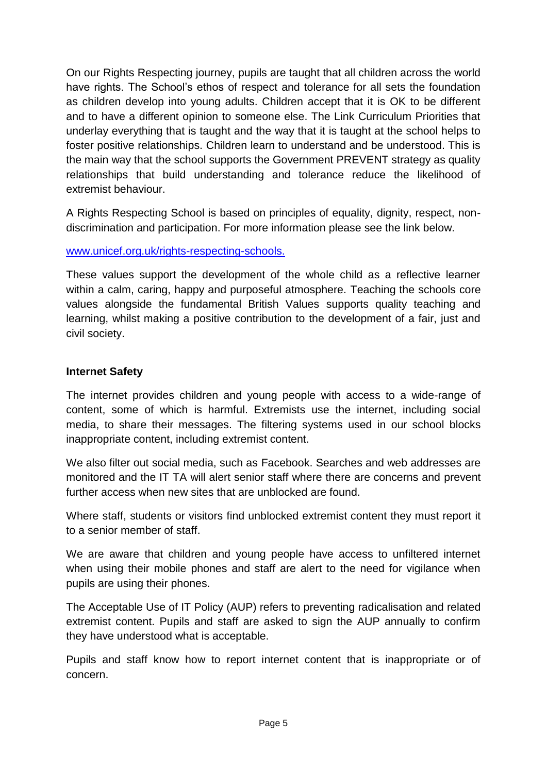On our Rights Respecting journey, pupils are taught that all children across the world have rights. The School's ethos of respect and tolerance for all sets the foundation as children develop into young adults. Children accept that it is OK to be different and to have a different opinion to someone else. The Link Curriculum Priorities that underlay everything that is taught and the way that it is taught at the school helps to foster positive relationships. Children learn to understand and be understood. This is the main way that the school supports the Government PREVENT strategy as quality relationships that build understanding and tolerance reduce the likelihood of extremist behaviour.

A Rights Respecting School is based on principles of equality, dignity, respect, nondiscrimination and participation. For more information please see the link below.

[www.unicef.org.uk/rights-respecting-schools.](http://www.unicef.org.uk/rights-respecting-schools.)

These values support the development of the whole child as a reflective learner within a calm, caring, happy and purposeful atmosphere. Teaching the schools core values alongside the fundamental British Values supports quality teaching and learning, whilst making a positive contribution to the development of a fair, just and civil society.

#### **Internet Safety**

The internet provides children and young people with access to a wide-range of content, some of which is harmful. Extremists use the internet, including social media, to share their messages. The filtering systems used in our school blocks inappropriate content, including extremist content.

We also filter out social media, such as Facebook. Searches and web addresses are monitored and the IT TA will alert senior staff where there are concerns and prevent further access when new sites that are unblocked are found.

Where staff, students or visitors find unblocked extremist content they must report it to a senior member of staff.

We are aware that children and young people have access to unfiltered internet when using their mobile phones and staff are alert to the need for vigilance when pupils are using their phones.

The Acceptable Use of IT Policy (AUP) refers to preventing radicalisation and related extremist content. Pupils and staff are asked to sign the AUP annually to confirm they have understood what is acceptable.

Pupils and staff know how to report internet content that is inappropriate or of concern.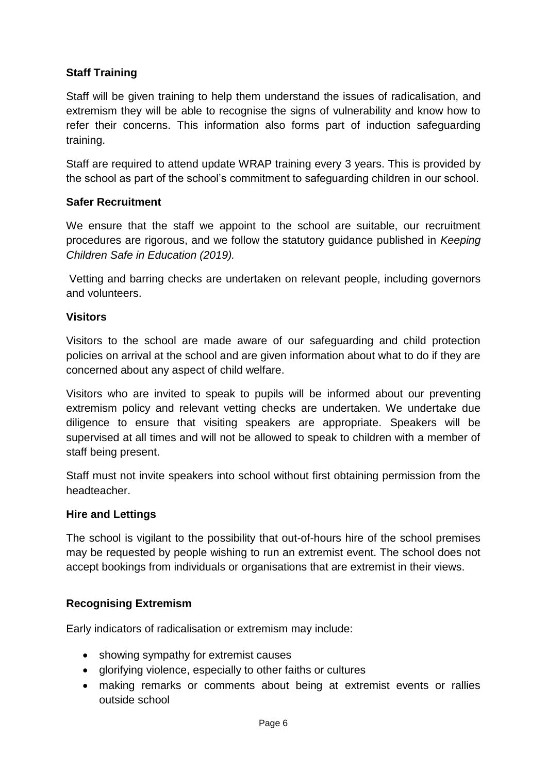# **Staff Training**

Staff will be given training to help them understand the issues of radicalisation, and extremism they will be able to recognise the signs of vulnerability and know how to refer their concerns. This information also forms part of induction safeguarding training.

Staff are required to attend update WRAP training every 3 years. This is provided by the school as part of the school's commitment to safeguarding children in our school.

#### **Safer Recruitment**

We ensure that the staff we appoint to the school are suitable, our recruitment procedures are rigorous, and we follow the statutory guidance published in *Keeping Children Safe in Education (2019).*

Vetting and barring checks are undertaken on relevant people, including governors and volunteers.

#### **Visitors**

Visitors to the school are made aware of our safeguarding and child protection policies on arrival at the school and are given information about what to do if they are concerned about any aspect of child welfare.

Visitors who are invited to speak to pupils will be informed about our preventing extremism policy and relevant vetting checks are undertaken. We undertake due diligence to ensure that visiting speakers are appropriate. Speakers will be supervised at all times and will not be allowed to speak to children with a member of staff being present.

Staff must not invite speakers into school without first obtaining permission from the headteacher.

#### **Hire and Lettings**

The school is vigilant to the possibility that out-of-hours hire of the school premises may be requested by people wishing to run an extremist event. The school does not accept bookings from individuals or organisations that are extremist in their views.

## **Recognising Extremism**

Early indicators of radicalisation or extremism may include:

- showing sympathy for extremist causes
- glorifying violence, especially to other faiths or cultures
- making remarks or comments about being at extremist events or rallies outside school